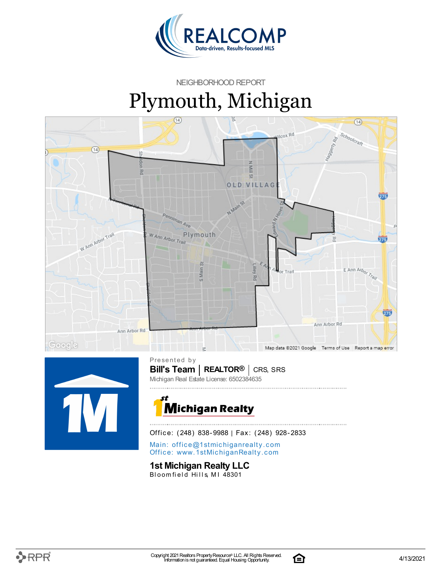

NEIGHBORHOOD REPORT

# Plymouth, Michigan





**Bill's Team** | **REALTOR<sup>®</sup>** | CRS, SRS Presented by Michigan Real Estate License: 6502384635



Office: (248) 838-9988 | Fax: (248) 928-2833

Main: o[ffi](mailto:office@1stmichiganrealty.com)ce@1stmichiganrealty.com Office: [www.](https://www.1stmichiganrealty.com/)1stMichiganRealty.com

### **1st Michigan Realty LLC**

Bloomfield Hills, MI 48301



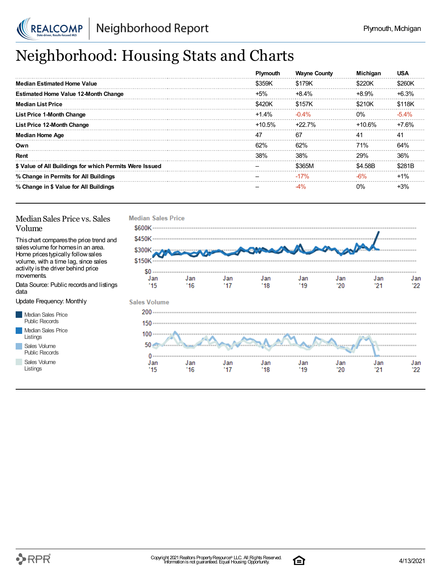

# Neighborhood: Housing Stats and Charts

|                                                         | Plymouth | <b>Wayne County</b> | <b>Michigan</b> | <b>USA</b> |
|---------------------------------------------------------|----------|---------------------|-----------------|------------|
| <b>Median Estimated Home Value</b>                      | \$359K   | \$179K              | \$220K          | \$260K     |
| <b>Estimated Home Value 12-Month Change</b>             | $+5%$    | $+8.4%$             | $+8.9%$         | $+6.3%$    |
| <b>Median List Price</b>                                | \$420K   | \$157K              | \$210K          | \$118K     |
| <b>List Price 1-Month Change</b>                        | $+1.4%$  | $-0.4\%$            | $0\%$           | $-5.4\%$   |
| List Price 12-Month Change                              | $+10.5%$ | +22.7%              | $+10.6%$        | $+7.6%$    |
| <b>Median Home Age</b>                                  | 47       | 67                  | 41              | 41         |
| Own                                                     | 62%      | 62%                 | <b>71%</b>      | 64%        |
| Rent                                                    | 38%      | 38%                 | 29%             | 36%        |
| \$ Value of All Buildings for which Permits Were Issued |          | \$365M              | \$4.58B         | \$281B     |
| % Change in Permits for All Buildings                   |          | $-17%$              | $-6%$           | $+1%$      |
| % Change in \$ Value for All Buildings                  |          | -4%                 | $0\%$           | $+3%$      |

#### Median Sales Price vs. Sales Volume

Thischart comparesthe price trend and salesvolume for homesin an area. Home pricestypically followsales volume, with a time lag, since sales activity isthe driver behind price movements.

Data Source: Public recordsand listings data

Update Frequency: Monthly

Median Sales Price Public Records Median Sales Price Listings Sales Volume Public Records

Sales Volume

Listings



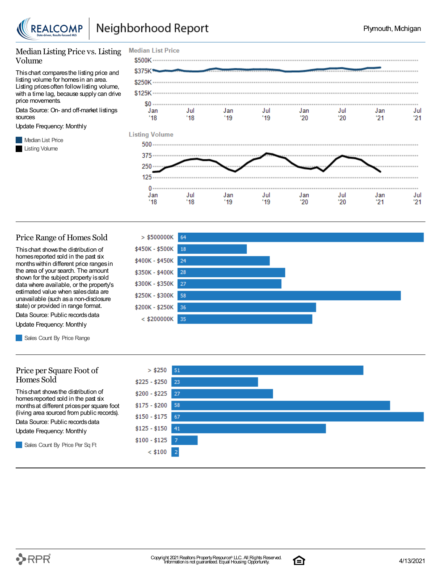

#### Median Listing Price vs. Listing Volume

Thischart comparesthe listing price and listing volume for homesin an area. Listing prices often follow listing volume, with a time lag, because supply can drive price movements.

Data Source: On- and off-market listings sources

Update Frequency: Monthly

**Median List Price** Listing Volume



#### Price Range of Homes Sold

Thischart showsthe distribution of homes reported sold in the past six monthswithin different price rangesin the area of your search. The amount shown for the subject property issold data where available, or the property's estimated value when salesdata are unavailable (such asa non-disclosure state) or provided in range format.

Data Source: Public records data Update Frequency: Monthly

Sales Count By Price Range

#### Price per Square Foot of Homes Sold

Thischart showsthe distribution of homes reported sold in the past six monthsat different pricesper square foot (living area sourced from public records).

Data Source: Public records data

Update Frequency: Monthly

Sales Count By Price Per Sq Ft





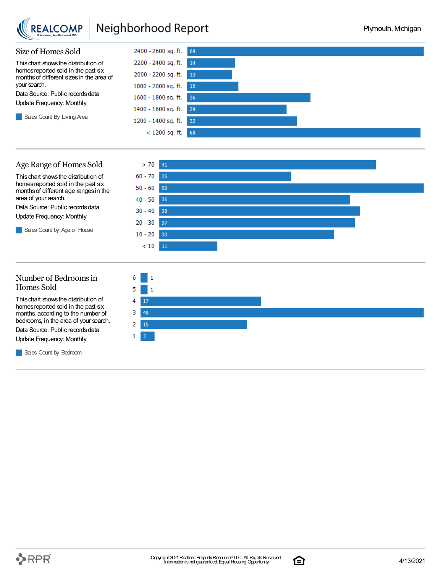

## Neighborhood Report



#### Age Range of Homes Sold

Thischart showsthe distribution of homes reported sold in the past six monthsof different age rangesin the area of your search.

Data Source: Public records data Update Frequency: Monthly

Sales Count by Age of House



#### Number of Bedroomsin Homes Sold

Thischart showsthe distribution of homes reported sold in the past six months, according to the number of bedrooms, in the area of your search.

Data Source: Public records data Update Frequency: Monthly

**Sales Count by Bedroom** 



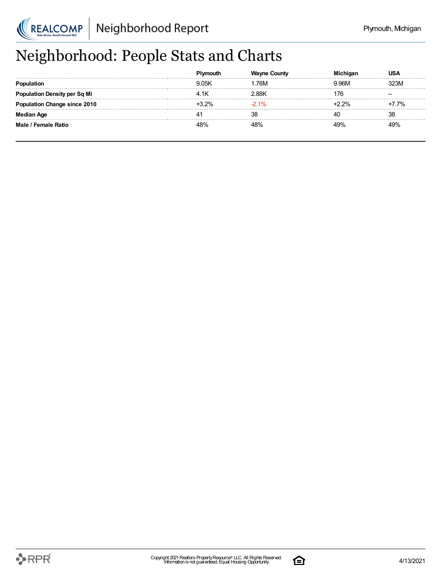

## Neighborhood: People Stats and Charts

|                                 | nouth  | County  |     |      |
|---------------------------------|--------|---------|-----|------|
|                                 | 9 0.5K | .76M    | 96M | ገጋ3M |
| <b>'ation Density per Sq Mi</b> |        | 2.88K   |     |      |
| ulation Change since 2010       | 32%    | $-2.1%$ |     | 7.7% |
| <b>Median Age</b>               |        | 38      |     | 38   |
| Male / Female Ratio             | 18%    | 48%     |     | 19%  |

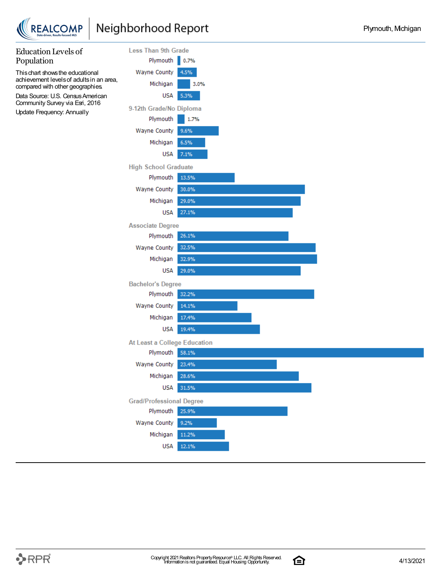



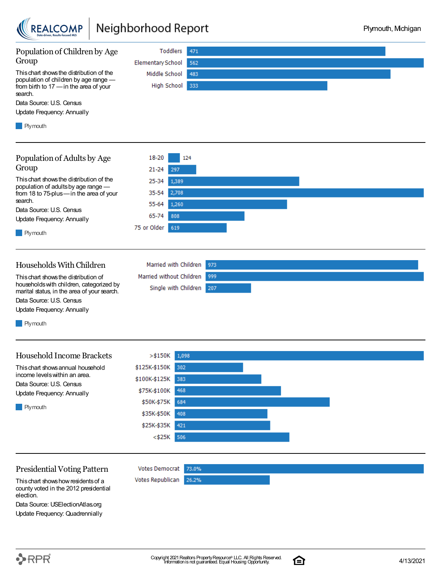

## Neighborhood Report



Thischart showshowresidentsof a county voted in the 2012 presidential election.

Data Source: USElectionAtlas.org Update Frequency: Quadrennially

 $\mathbf{\mathcal{P}}$ RPR $\hat{\mathbf{r}}$ 

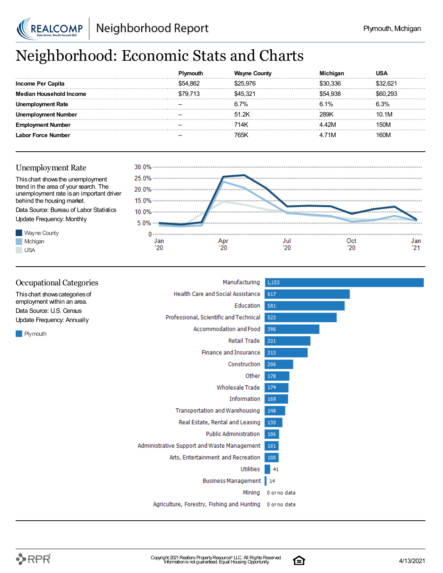

## Neighborhood: Economic Stats and Charts

|                       |          |        |          | JSA      |
|-----------------------|----------|--------|----------|----------|
| Income Per Capita     | \$54 862 |        | .336     | \$32.621 |
| Household Income      | S79 713  | 45.321 | \$54.938 | 293      |
| oloyment Rate<br>Unem |          | 6.7%   | 6.1%     | 6.3%     |
| ment Number           |          | 51.2K  | 28.9K    | 10.1M    |
| : Number              |          | 714K   | ' 42M    | 150M     |
| Labor Force Number    |          | 765ŀ   | .71M     | 160M     |





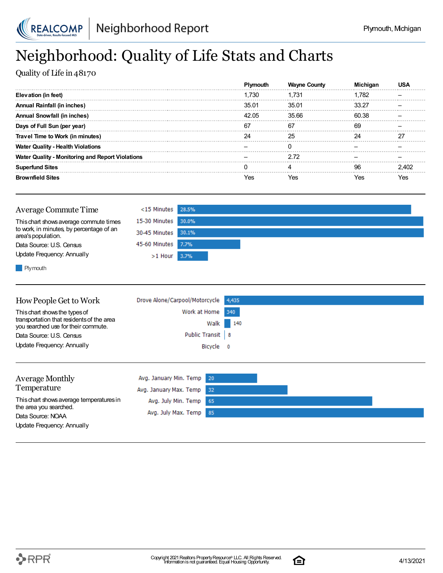

## Neighborhood: Quality of Life Stats and Charts

Quality of Life in 48170

|                                                         |       | <b>Wayne Count</b> |       |    |
|---------------------------------------------------------|-------|--------------------|-------|----|
| Elevation (in feet)                                     | 1.730 | L731               | 1.782 |    |
| Annual Rainfall (in inches)                             | 35.01 | 35.01              | 33 27 |    |
| <b>Annual Snowfall (in inches)</b>                      | 42.05 | 35.66              | 60.38 |    |
| Days of Full Sun (per year)                             | 67    | 67                 | 69    |    |
| Travel Time to Work (in minutes)                        |       | 25                 | 24    | דר |
| <b>Water Quality - Health Violations</b>                |       |                    |       |    |
| <b>Water Quality - Monitoring and Report Violations</b> |       | 2.72               |       |    |
| <b>Superfund Sites</b>                                  |       |                    | ۹R    |    |
| <b>Brownfield Sites</b>                                 |       |                    |       |    |

| Average Commute Time                                                                                     | $<$ 15 Minutes 28.5% |  |
|----------------------------------------------------------------------------------------------------------|----------------------|--|
| This chart shows average commute times<br>to work, in minutes, by percentage of an<br>area's population. | 15-30 Minutes 30.0%  |  |
|                                                                                                          | 30-45 Minutes 30.1%  |  |
| Data Source: U.S. Census                                                                                 | 45-60 Minutes 7.7%   |  |
| Update Frequency: Annually                                                                               | $>1$ Hour 3.7%       |  |
|                                                                                                          |                      |  |

**Plymouth** 

| How People Get to Work                                                           | Drove Alone/Carpool/Motorcycle 4,435 |     |
|----------------------------------------------------------------------------------|--------------------------------------|-----|
| This chart shows the types of                                                    | Work at Home 340                     |     |
| transportation that residents of the area<br>you searched use for their commute. | Walk                                 | 140 |
| Data Source: U.S. Census                                                         | Public Transit   8                   |     |
| Update Frequency: Annually                                                       | Bicycle 0                            |     |
|                                                                                  |                                      |     |

| <b>Average Monthly</b>                      | Avg. January Min. Temp 20 |  |  |
|---------------------------------------------|---------------------------|--|--|
| Temperature                                 | Avg. January Max. Temp 32 |  |  |
| This chart shows average temperatures in    | Avg. July Min. Temp 65    |  |  |
| the area you searched.<br>Data Source: NOAA | Avg. July Max. Temp 85    |  |  |
| Update Frequency: Annually                  |                           |  |  |